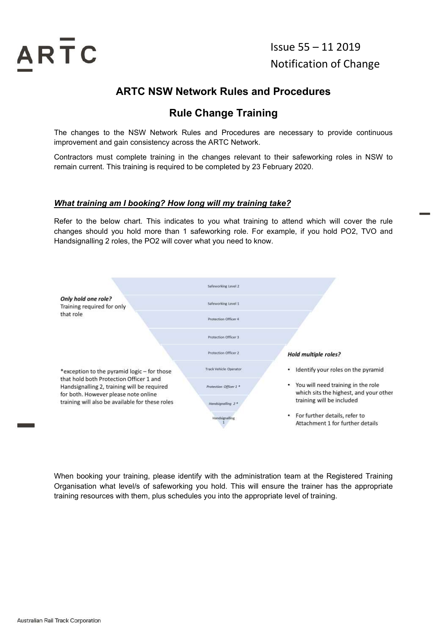

Issue 55 – 11 2019 Notification of Change

# ARTC NSW Network Rules and Procedures

# Rule Change Training

The changes to the NSW Network Rules and Procedures are necessary to provide continuous improvement and gain consistency across the ARTC Network.

Contractors must complete training in the changes relevant to their safeworking roles in NSW to remain current. This training is required to be completed by 23 February 2020.

#### What training am I booking? How long will my training take?

Refer to the below chart. This indicates to you what training to attend which will cover the rule changes should you hold more than 1 safeworking role. For example, if you hold PO2, TVO and Handsignalling 2 roles, the PO2 will cover what you need to know.



When booking your training, please identify with the administration team at the Registered Training Organisation what level/s of safeworking you hold. This will ensure the trainer has the appropriate training resources with them, plus schedules you into the appropriate level of training.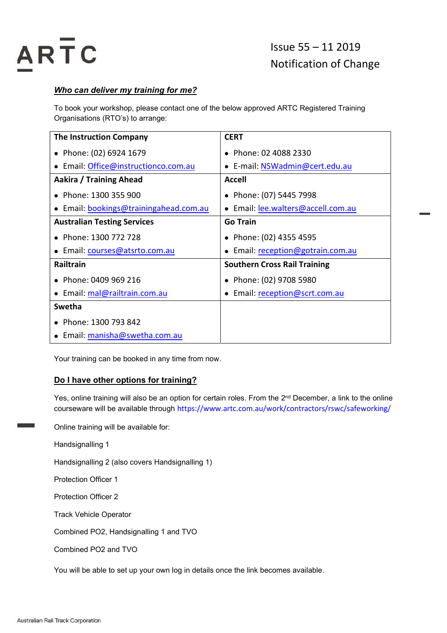

#### Who can deliver my training for me?

To book your workshop, please contact one of the below approved ARTC Registered Training Organisations (RTO's) to arrange:

| <b>The Instruction Company</b>         | <b>CERT</b>                         |
|----------------------------------------|-------------------------------------|
| • Phone: (02) 6924 1679                | • Phone: 02 4088 2330               |
| • Email: Office@instructionco.com.au   | • E-mail: NSWadmin@cert.edu.au      |
| Aakira / Training Ahead                | <b>Accell</b>                       |
| • Phone: 1300 355 900                  | • Phone: (07) 5445 7998             |
| • Email: bookings@trainingahead.com.au | Email: lee.walters@accell.com.au    |
| <b>Australian Testing Services</b>     | <b>Go Train</b>                     |
| • Phone: 1300 772 728                  | • Phone: (02) 4355 4595             |
| · Email: courses@atsrto.com.au         | Email: reception@gotrain.com.au     |
| <b>Railtrain</b>                       | <b>Southern Cross Rail Training</b> |
| • Phone: 0409 969 216                  | • Phone: (02) 9708 5980             |
| • Email: mal@railtrain.com.au          | Email: reception@scrt.com.au        |
| Swetha                                 |                                     |
| • Phone: 1300 793 842                  |                                     |
| • Email: manisha@swetha.com.au         |                                     |

Your training can be booked in any time from now.

#### Do I have other options for training?

Yes, online training will also be an option for certain roles. From the 2<sup>nd</sup> December, a link to the online courseware will be available through https://www.artc.com.au/work/contractors/rswc/safeworking/

Online training will be available for:

Handsignalling 1

Handsignalling 2 (also covers Handsignalling 1)

Protection Officer 1

Protection Officer 2

Track Vehicle Operator

Combined PO2, Handsignalling 1 and TVO

Combined PO2 and TVO

You will be able to set up your own log in details once the link becomes available.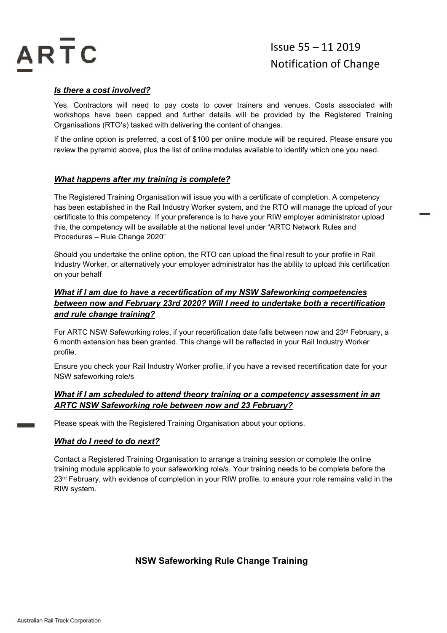

#### Is there a cost involved?

Yes. Contractors will need to pay costs to cover trainers and venues. Costs associated with workshops have been capped and further details will be provided by the Registered Training Organisations (RTO's) tasked with delivering the content of changes.

If the online option is preferred, a cost of \$100 per online module will be required. Please ensure you review the pyramid above, plus the list of online modules available to identify which one you need.

#### What happens after my training is complete?

The Registered Training Organisation will issue you with a certificate of completion. A competency has been established in the Rail Industry Worker system, and the RTO will manage the upload of your certificate to this competency. If your preference is to have your RIW employer administrator upload this, the competency will be available at the national level under "ARTC Network Rules and Procedures – Rule Change 2020"

Should you undertake the online option, the RTO can upload the final result to your profile in Rail Industry Worker, or alternatively your employer administrator has the ability to upload this certification on your behalf

#### What if I am due to have a recertification of my NSW Safeworking competencies between now and February 23rd 2020? Will I need to undertake both a recertification and rule change training?

For ARTC NSW Safeworking roles, if your recertification date falls between now and 23rd February, a 6 month extension has been granted. This change will be reflected in your Rail Industry Worker profile.

Ensure you check your Rail Industry Worker profile, if you have a revised recertification date for your NSW safeworking role/s

#### What if I am scheduled to attend theory training or a competency assessment in an ARTC NSW Safeworking role between now and 23 February?

Please speak with the Registered Training Organisation about your options.

#### What do I need to do next?

Contact a Registered Training Organisation to arrange a training session or complete the online training module applicable to your safeworking role/s. Your training needs to be complete before the 23<sup>rd</sup> February, with evidence of completion in your RIW profile, to ensure your role remains valid in the RIW system.

NSW Safeworking Rule Change Training